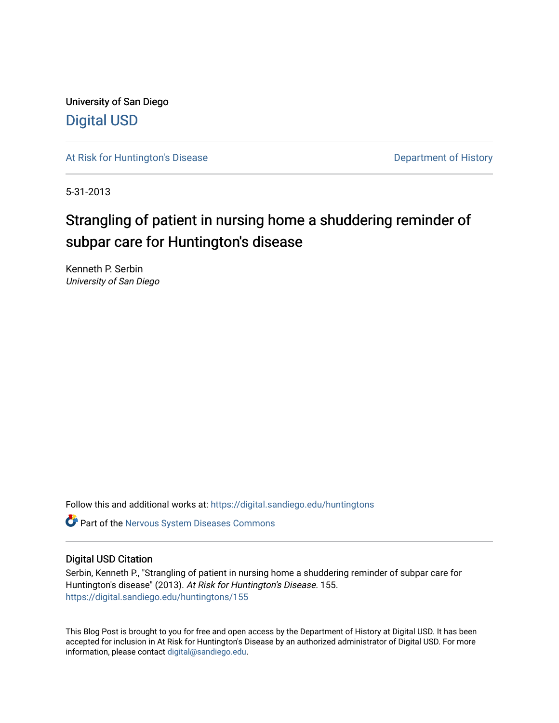University of San Diego [Digital USD](https://digital.sandiego.edu/)

[At Risk for Huntington's Disease](https://digital.sandiego.edu/huntingtons) **Department of History** Department of History

5-31-2013

# Strangling of patient in nursing home a shuddering reminder of subpar care for Huntington's disease

Kenneth P. Serbin University of San Diego

Follow this and additional works at: [https://digital.sandiego.edu/huntingtons](https://digital.sandiego.edu/huntingtons?utm_source=digital.sandiego.edu%2Fhuntingtons%2F155&utm_medium=PDF&utm_campaign=PDFCoverPages)

**C** Part of the [Nervous System Diseases Commons](http://network.bepress.com/hgg/discipline/928?utm_source=digital.sandiego.edu%2Fhuntingtons%2F155&utm_medium=PDF&utm_campaign=PDFCoverPages)

### Digital USD Citation

Serbin, Kenneth P., "Strangling of patient in nursing home a shuddering reminder of subpar care for Huntington's disease" (2013). At Risk for Huntington's Disease. 155. [https://digital.sandiego.edu/huntingtons/155](https://digital.sandiego.edu/huntingtons/155?utm_source=digital.sandiego.edu%2Fhuntingtons%2F155&utm_medium=PDF&utm_campaign=PDFCoverPages)

This Blog Post is brought to you for free and open access by the Department of History at Digital USD. It has been accepted for inclusion in At Risk for Huntington's Disease by an authorized administrator of Digital USD. For more information, please contact [digital@sandiego.edu.](mailto:digital@sandiego.edu)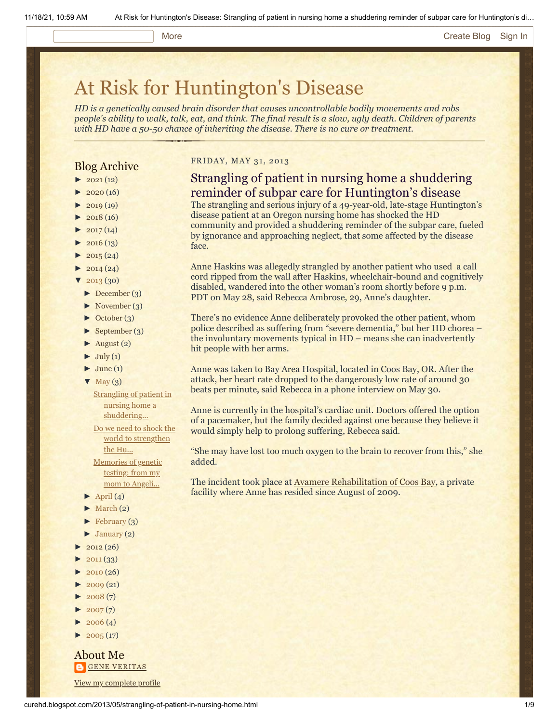#### More **[Create Blog](https://www.blogger.com/home#create) [Sign In](https://www.blogger.com/)**

# [At Risk for Huntington's Disease](http://curehd.blogspot.com/)

*HD is a genetically caused brain disorder that causes uncontrollable bodily movements and robs people's ability to walk, talk, eat, and think. The final result is a slow, ugly death. Children of parents with HD have a 50-50 chance of inheriting the disease. There is no cure or treatment.*

## Blog Archive

- $\blacktriangleright$  [2021](http://curehd.blogspot.com/2021/)(12)
- $2020(16)$  $2020(16)$
- $2019(19)$  $2019(19)$
- $\blacktriangleright$  [2018](http://curehd.blogspot.com/2018/) (16)
- $2017(14)$  $2017(14)$
- $2016(13)$  $2016(13)$
- $\blacktriangleright$  [2015](http://curehd.blogspot.com/2015/) (24)
- $-2014(24)$  $-2014(24)$  $-2014(24)$
- $'$  [2013](http://curehd.blogspot.com/2013/)  $(30)$
- [►](javascript:void(0)) [December](http://curehd.blogspot.com/2013/12/) (3)
- [►](javascript:void(0)) [November](http://curehd.blogspot.com/2013/11/) (3)
- [►](javascript:void(0)) [October](http://curehd.blogspot.com/2013/10/) (3)
- [►](javascript:void(0)) [September](http://curehd.blogspot.com/2013/09/) (3)
- $\blacktriangleright$  [August](http://curehd.blogspot.com/2013/08/) (2)
- $\blacktriangleright$  [July](http://curehd.blogspot.com/2013/07/) (1)
- $\blacktriangleright$  [June](http://curehd.blogspot.com/2013/06/) (1)
- $\nabla$  [May](http://curehd.blogspot.com/2013/05/)  $(3)$ 
	- **Strangling of patient in** nursing home a [shuddering...](http://curehd.blogspot.com/2013/05/strangling-of-patient-in-nursing-home.html)
- Do we need to shock the world to [strengthen](http://curehd.blogspot.com/2013/05/do-we-need-to-shock-world-to-strengthen.html) the Hu... [Memories](http://curehd.blogspot.com/2013/05/memories-of-genetic-testing-from-my-mom.html) of genetic testing: from my
- mom to Angeli...
- $\blacktriangleright$  [April](http://curehd.blogspot.com/2013/04/) (4)
- $\blacktriangleright$  [March](http://curehd.blogspot.com/2013/03/) (2)
- $\blacktriangleright$  [February](http://curehd.blogspot.com/2013/02/) (3)
- $\blacktriangleright$  [January](http://curehd.blogspot.com/2013/01/) (2)
- $2012(26)$  $2012(26)$
- $2011(33)$  $2011(33)$
- $2010(26)$  $2010(26)$
- $2009(21)$  $2009(21)$
- $2008(7)$  $2008(7)$
- $2007(7)$  $2007(7)$
- $\blacktriangleright$  [2006](http://curehd.blogspot.com/2006/) (4)
- $\blacktriangleright$  [2005](http://curehd.blogspot.com/2005/) (17)

About Me **GENE [VERITAS](https://www.blogger.com/profile/10911736205741688185)** View my [complete](https://www.blogger.com/profile/10911736205741688185) profile

#### FRIDAY, MAY 31, 2013

# Strangling of patient in nursing home a shuddering reminder of subpar care for Huntington's disease

The strangling and serious injury of a 49-year-old, late-stage Huntington's disease patient at an Oregon nursing home has shocked the HD community and provided a shuddering reminder of the subpar care, fueled by ignorance and approaching neglect, that some affected by the disease face.

Anne Haskins was allegedly strangled by another patient who used a call cord ripped from the wall after Haskins, wheelchair-bound and cognitively disabled, wandered into the other woman's room shortly before 9 p.m. PDT on May 28, said Rebecca Ambrose, 29, Anne's daughter.

There's no evidence Anne deliberately provoked the other patient, whom police described as suffering from "severe dementia," but her HD chorea – the involuntary movements typical in HD – means she can inadvertently hit people with her arms.

Anne was taken to Bay Area Hospital, located in Coos Bay, OR. After the attack, her heart rate dropped to the dangerously low rate of around 30 beats per minute, said Rebecca in a phone interview on May 30.

Anne is currently in the hospital's cardiac unit. Doctors offered the option of a pacemaker, but the family decided against one because they believe it would simply help to prolong suffering, Rebecca said.

"She may have lost too much oxygen to the brain to recover from this," she added.

The incident took place at **Avamere Rehabilitation of Coos Bay**, a private facility where Anne has resided since August of 2009.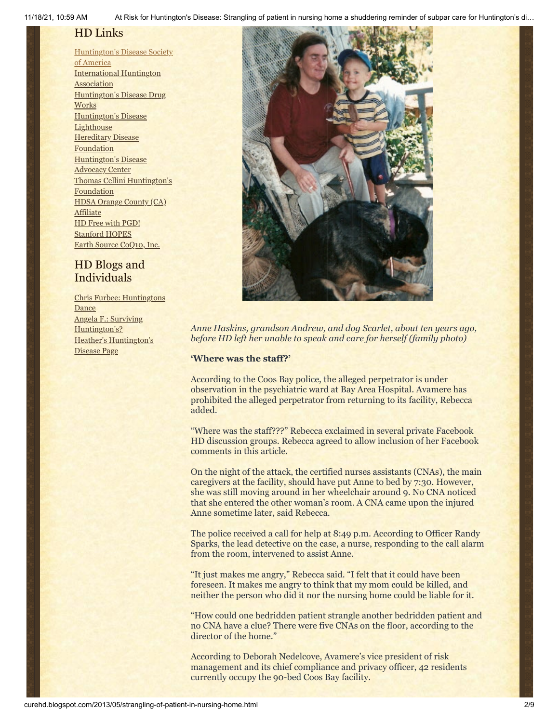11/18/21, 10:59 AM At Risk for Huntington's Disease: Strangling of patient in nursing home a shuddering reminder of subpar care for Huntington's di…

# HD Links

[Huntington's](http://www.hdsa.org/) Disease Society of America [International](http://www.huntington-assoc.com/) Huntington **Association** [Huntington's](http://hddrugworks.org/) Disease Drug **Works** [Huntington's](http://www.hdlighthouse.org/) Disease **Lighthouse Hereditary Disease [Foundation](http://www.hdfoundation.org/)** [Huntington's](http://www.hdac.org/) Disease Advocacy Center Thomas [Cellini Huntington's](http://www.ourtchfoundation.org/) **Foundation** HDSA Orange County (CA) **[Affiliate](http://www.hdsaoc.org/)** HD Free with [PGD!](http://www.hdfreewithpgd.com/) [Stanford](http://www.stanford.edu/group/hopes/) HOPES Earth Source [CoQ10,](http://www.escoq10.com/) Inc.

# HD Blogs and Individuals

Chris Furbee: [Huntingtons](http://www.huntingtonsdance.org/) **Dance** Angela F.: Surviving [Huntington's?](http://survivinghuntingtons.blogspot.com/) Heather's [Huntington's](http://heatherdugdale.angelfire.com/) Disease Page



*Anne Haskins, grandson Andrew, and dog Scarlet, about ten years ago, before HD left her unable to speak and care for herself (family photo)*

### **'Where was the staff?'**

According to the Coos Bay police, the alleged perpetrator is under observation in the psychiatric ward at Bay Area Hospital. Avamere has prohibited the alleged perpetrator from returning to its facility, Rebecca added.

"Where was the staff???" Rebecca exclaimed in several private Facebook HD discussion groups. Rebecca agreed to allow inclusion of her Facebook comments in this article.

On the night of the attack, the certified nurses assistants (CNAs), the main caregivers at the facility, should have put Anne to bed by 7:30. However, she was still moving around in her wheelchair around 9. No CNA noticed that she entered the other woman's room. A CNA came upon the injured Anne sometime later, said Rebecca.

The police received a call for help at 8:49 p.m. According to Officer Randy Sparks, the lead detective on the case, a nurse, responding to the call alarm from the room, intervened to assist Anne.

"It just makes me angry," Rebecca said. "I felt that it could have been foreseen. It makes me angry to think that my mom could be killed, and neither the person who did it nor the nursing home could be liable for it.

"How could one bedridden patient strangle another bedridden patient and no CNA have a clue? There were five CNAs on the floor, according to the director of the home."

According to Deborah Nedelcove, Avamere's vice president of risk management and its chief compliance and privacy officer, 42 residents currently occupy the 90-bed Coos Bay facility.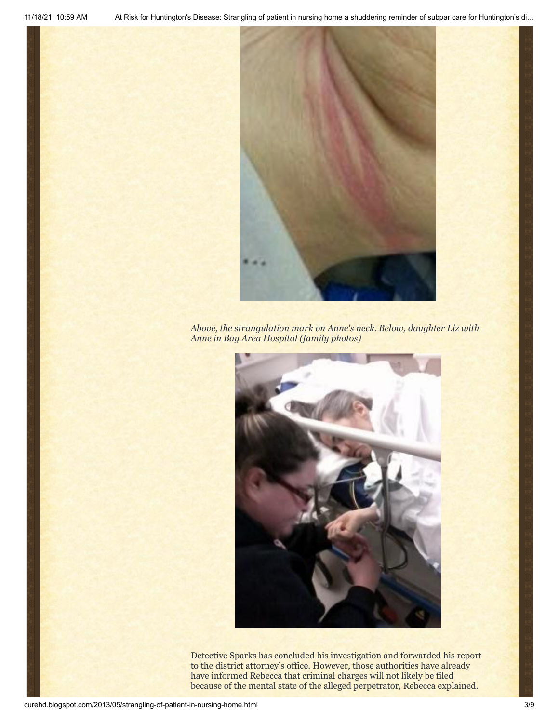

*Above, the strangulation mark on Anne's neck. Below, daughter Liz with Anne in Bay Area Hospital (family photos)*



Detective Sparks has concluded his investigation and forwarded his report to the district attorney's office. However, those authorities have already have informed Rebecca that criminal charges will not likely be filed because of the mental state of the alleged perpetrator, Rebecca explained.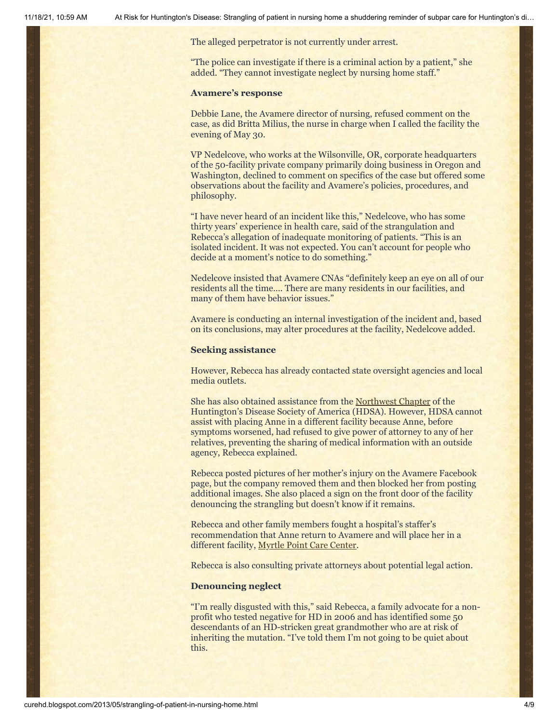The alleged perpetrator is not currently under arrest.

"The police can investigate if there is a criminal action by a patient," she added. "They cannot investigate neglect by nursing home staff."

#### **Avamere's response**

Debbie Lane, the Avamere director of nursing, refused comment on the case, as did Britta Milius, the nurse in charge when I called the facility the evening of May 30.

VP Nedelcove, who works at the Wilsonville, OR, corporate headquarters of the 50-facility private company primarily doing business in Oregon and Washington, declined to comment on specifics of the case but offered some observations about the facility and Avamere's policies, procedures, and philosophy.

"I have never heard of an incident like this," Nedelcove, who has some thirty years' experience in health care, said of the strangulation and Rebecca's allegation of inadequate monitoring of patients. "This is an isolated incident. It was not expected. You can't account for people who decide at a moment's notice to do something."

Nedelcove insisted that Avamere CNAs "definitely keep an eye on all of our residents all the time…. There are many residents in our facilities, and many of them have behavior issues."

Avamere is conducting an internal investigation of the incident and, based on its conclusions, may alter procedures at the facility, Nedelcove added.

#### **Seeking assistance**

However, Rebecca has already contacted state oversight agencies and local media outlets.

She has also obtained assistance from the [Northwest Chapter](http://www.hdsa.org/nw-chapter/index.html) of the Huntington's Disease Society of America (HDSA). However, HDSA cannot assist with placing Anne in a different facility because Anne, before symptoms worsened, had refused to give power of attorney to any of her relatives, preventing the sharing of medical information with an outside agency, Rebecca explained.

Rebecca posted pictures of her mother's injury on the Avamere Facebook page, but the company removed them and then blocked her from posting additional images. She also placed a sign on the front door of the facility denouncing the strangling but doesn't know if it remains.

Rebecca and other family members fought a hospital's staffer's recommendation that Anne return to Avamere and will place her in a different facility, [Myrtle Point Care Center](http://www.dakavia.com/).

Rebecca is also consulting private attorneys about potential legal action.

#### **Denouncing neglect**

"I'm really disgusted with this," said Rebecca, a family advocate for a nonprofit who tested negative for HD in 2006 and has identified some 50 descendants of an HD-stricken great grandmother who are at risk of inheriting the mutation. "I've told them I'm not going to be quiet about this.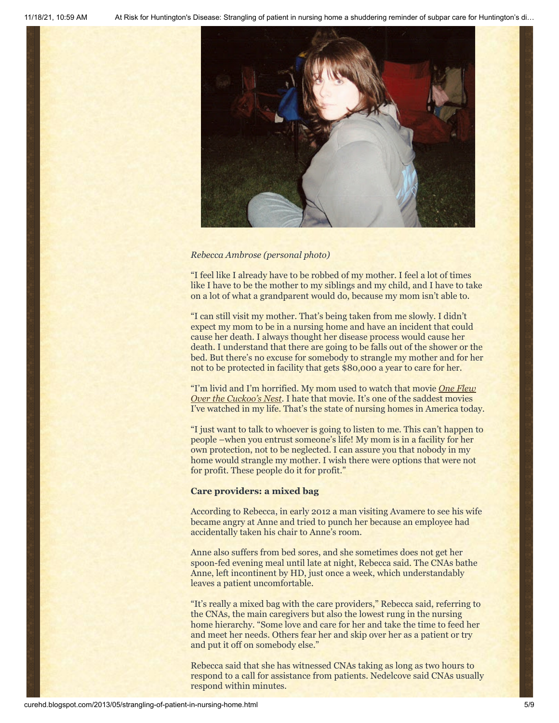

#### *Rebecca Ambrose (personal photo)*

"I feel like I already have to be robbed of my mother. I feel a lot of times like I have to be the mother to my siblings and my child, and I have to take on a lot of what a grandparent would do, because my mom isn't able to.

"I can still visit my mother. That's being taken from me slowly. I didn't expect my mom to be in a nursing home and have an incident that could cause her death. I always thought her disease process would cause her death. I understand that there are going to be falls out of the shower or the bed. But there's no excuse for somebody to strangle my mother and for her not to be protected in facility that gets \$80,000 a year to care for her.

["I'm livid and I'm horrified. My mom used to watch that](http://www.imdb.com/title/tt0073486/) movie *One Flew Over the Cuckoo's Nest.* I hate that movie. It's one of the saddest movies I've watched in my life. That's the state of nursing homes in America today.

"I just want to talk to whoever is going to listen to me. This can't happen to people –when you entrust someone's life! My mom is in a facility for her own protection, not to be neglected. I can assure you that nobody in my home would strangle my mother. I wish there were options that were not for profit. These people do it for profit."

#### **Care providers: a mixed bag**

According to Rebecca, in early 2012 a man visiting Avamere to see his wife became angry at Anne and tried to punch her because an employee had accidentally taken his chair to Anne's room.

Anne also suffers from bed sores, and she sometimes does not get her spoon-fed evening meal until late at night, Rebecca said. The CNAs bathe Anne, left incontinent by HD, just once a week, which understandably leaves a patient uncomfortable.

"It's really a mixed bag with the care providers," Rebecca said, referring to the CNAs, the main caregivers but also the lowest rung in the nursing home hierarchy. "Some love and care for her and take the time to feed her and meet her needs. Others fear her and skip over her as a patient or try and put it off on somebody else."

Rebecca said that she has witnessed CNAs taking as long as two hours to respond to a call for assistance from patients. Nedelcove said CNAs usually respond within minutes.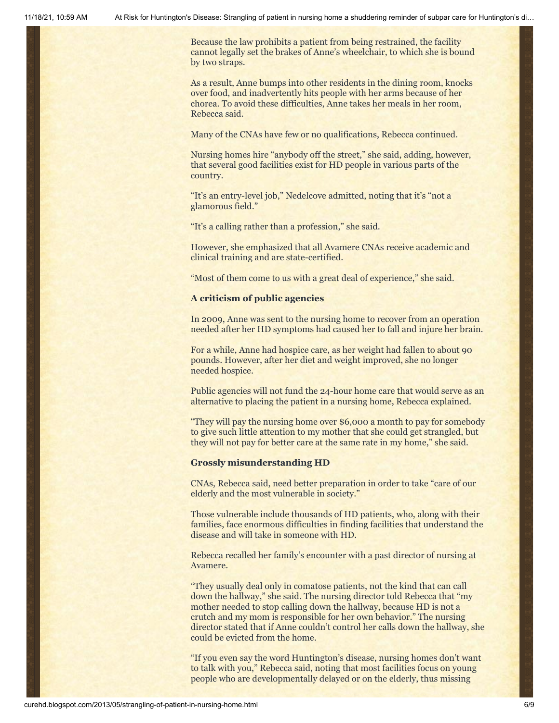Because the law prohibits a patient from being restrained, the facility cannot legally set the brakes of Anne's wheelchair, to which she is bound by two straps.

As a result, Anne bumps into other residents in the dining room, knocks over food, and inadvertently hits people with her arms because of her chorea. To avoid these difficulties, Anne takes her meals in her room, Rebecca said.

Many of the CNAs have few or no qualifications, Rebecca continued.

Nursing homes hire "anybody off the street," she said, adding, however, that several good facilities exist for HD people in various parts of the country.

"It's an entry-level job," Nedelcove admitted, noting that it's "not a glamorous field."

"It's a calling rather than a profession," she said.

However, she emphasized that all Avamere CNAs receive academic and clinical training and are state-certified.

"Most of them come to us with a great deal of experience," she said.

#### **A criticism of public agencies**

In 2009, Anne was sent to the nursing home to recover from an operation needed after her HD symptoms had caused her to fall and injure her brain.

For a while, Anne had hospice care, as her weight had fallen to about 90 pounds. However, after her diet and weight improved, she no longer needed hospice.

Public agencies will not fund the 24-hour home care that would serve as an alternative to placing the patient in a nursing home, Rebecca explained.

"They will pay the nursing home over \$6,000 a month to pay for somebody to give such little attention to my mother that she could get strangled, but they will not pay for better care at the same rate in my home," she said.

#### **Grossly misunderstanding HD**

CNAs, Rebecca said, need better preparation in order to take "care of our elderly and the most vulnerable in society."

Those vulnerable include thousands of HD patients, who, along with their families, face enormous difficulties in finding facilities that understand the disease and will take in someone with HD.

Rebecca recalled her family's encounter with a past director of nursing at Avamere.

"They usually deal only in comatose patients, not the kind that can call down the hallway," she said. The nursing director told Rebecca that "my mother needed to stop calling down the hallway, because HD is not a crutch and my mom is responsible for her own behavior." The nursing director stated that if Anne couldn't control her calls down the hallway, she could be evicted from the home.

"If you even say the word Huntington's disease, nursing homes don't want to talk with you," Rebecca said, noting that most facilities focus on young people who are developmentally delayed or on the elderly, thus missing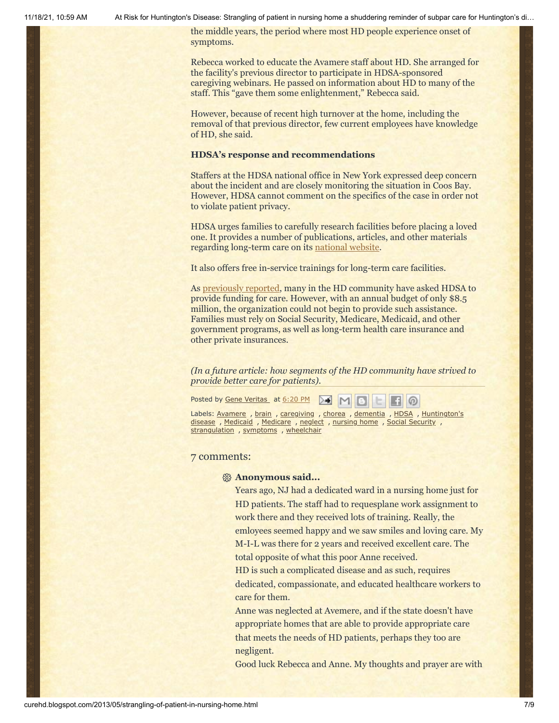11/18/21, 10:59 AM At Risk for Huntington's Disease: Strangling of patient in nursing home a shuddering reminder of subpar care for Huntington's di…

the middle years, the period where most HD people experience onset of symptoms.

Rebecca worked to educate the Avamere staff about HD. She arranged for the facility's previous director to participate in HDSA-sponsored caregiving webinars. He passed on information about HD to many of the staff. This "gave them some enlightenment," Rebecca said.

However, because of recent high turnover at the home, including the removal of that previous director, few current employees have knowledge of HD, she said.

#### **HDSA's response and recommendations**

Staffers at the HDSA national office in New York expressed deep concern about the incident and are closely monitoring the situation in Coos Bay. However, HDSA cannot comment on the specifics of the case in order not to violate patient privacy.

HDSA urges families to carefully research facilities before placing a loved one. It provides a number of publications, articles, and other materials regarding long-term care on its [national website](http://www.hdsa.org/).

It also offers free in-service trainings for long-term care facilities.

As [previously reported](http://curehd.blogspot.com/2011/05/sos-for-huntingtons-disease-families.html), many in the HD community have asked HDSA to provide funding for care. However, with an annual budget of only \$8.5 million, the organization could not begin to provide such assistance. Families must rely on Social Security, Medicare, Medicaid, and other government programs, as well as long-term health care insurance and other private insurances.

*(In a future article: how segments of the HD community have strived to provide better care for patients).*

Posted by Gene [Veritas](https://www.blogger.com/profile/03599828959793084715) at [6:20](http://curehd.blogspot.com/2013/05/strangling-of-patient-in-nursing-home.html) PM

Labels: [Avamere](http://curehd.blogspot.com/search/label/Avamere), [brain](http://curehd.blogspot.com/search/label/brain), [caregiving](http://curehd.blogspot.com/search/label/caregiving), [chorea](http://curehd.blogspot.com/search/label/chorea), [dementia](http://curehd.blogspot.com/search/label/dementia), [HDSA](http://curehd.blogspot.com/search/label/HDSA), [Huntington's](http://curehd.blogspot.com/search/label/Huntington%27s%20disease) disease, [Medicaid](http://curehd.blogspot.com/search/label/Medicaid), [Medicare](http://curehd.blogspot.com/search/label/Medicare), [neglect](http://curehd.blogspot.com/search/label/neglect), [nursing](http://curehd.blogspot.com/search/label/nursing%20home) home, Social [Security](http://curehd.blogspot.com/search/label/Social%20Security), [strangulation](http://curehd.blogspot.com/search/label/strangulation), [symptoms](http://curehd.blogspot.com/search/label/symptoms), [wheelchair](http://curehd.blogspot.com/search/label/wheelchair)

#### 7 comments:

#### **Anonymous said...**

Years ago, NJ had a dedicated ward in a nursing home just for HD patients. The staff had to requesplane work assignment to work there and they received lots of training. Really, the emloyees seemed happy and we saw smiles and loving care. My M-I-L was there for 2 years and received excellent care. The total opposite of what this poor Anne received.

HD is such a complicated disease and as such, requires dedicated, compassionate, and educated healthcare workers to care for them.

Anne was neglected at Avemere, and if the state doesn't have appropriate homes that are able to provide appropriate care that meets the needs of HD patients, perhaps they too are negligent.

Good luck Rebecca and Anne. My thoughts and prayer are with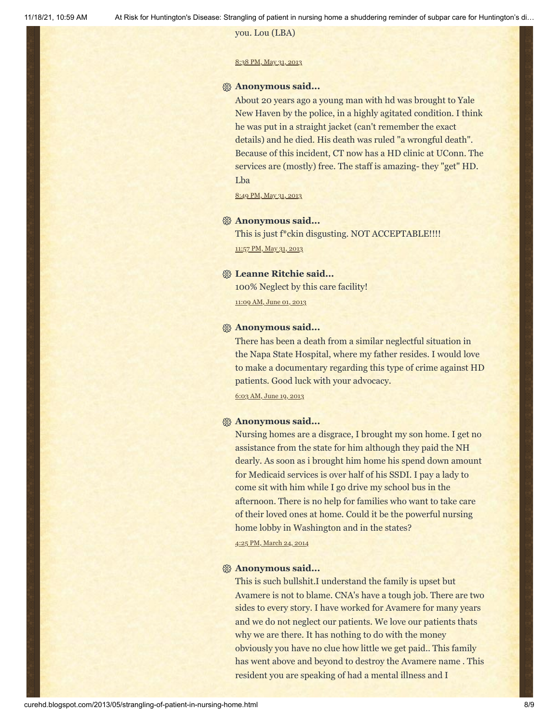#### you. Lou (LBA)

#### 8:38 PM, May 31, [2013](http://curehd.blogspot.com/2013/05/strangling-of-patient-in-nursing-home.html?showComment=1370057939918#c5152652534674917366)

#### **Anonymous said...**

About 20 years ago a young man with hd was brought to Yale New Haven by the police, in a highly agitated condition. I think he was put in a straight jacket (can't remember the exact details) and he died. His death was ruled "a wrongful death". Because of this incident, CT now has a HD clinic at UConn. The services are (mostly) free. The staff is amazing- they "get" HD. Lba

8:49 PM, May 31, [2013](http://curehd.blogspot.com/2013/05/strangling-of-patient-in-nursing-home.html?showComment=1370058570541#c2404907936794219027)

#### **Anonymous said...**

This is just f\*ckin disgusting. NOT ACCEPTABLE!!!! [11:57](http://curehd.blogspot.com/2013/05/strangling-of-patient-in-nursing-home.html?showComment=1370069843304#c2280520294097813729) PM, May 31, 2013

#### **Leanne Ritchie said...**

100% Neglect by this care facility! [11:09](http://curehd.blogspot.com/2013/05/strangling-of-patient-in-nursing-home.html?showComment=1370110160270#c6157688812760333563) AM, June 01, 2013

#### **Anonymous said...**

There has been a death from a similar neglectful situation in the Napa State Hospital, where my father resides. I would love to make a documentary regarding this type of crime against HD patients. Good luck with your advocacy.

6:03 AM, [June](http://curehd.blogspot.com/2013/05/strangling-of-patient-in-nursing-home.html?showComment=1371647021720#c7555290444276306428) 19, 2013

#### **Anonymous said...**

Nursing homes are a disgrace, I brought my son home. I get no assistance from the state for him although they paid the NH dearly. As soon as i brought him home his spend down amount for Medicaid services is over half of his SSDI. I pay a lady to come sit with him while I go drive my school bus in the afternoon. There is no help for families who want to take care of their loved ones at home. Could it be the powerful nursing home lobby in Washington and in the states?

4:25 PM, [March](http://curehd.blogspot.com/2013/05/strangling-of-patient-in-nursing-home.html?showComment=1395703553187#c8520178363101699565) 24, 2014

#### **Anonymous said...**

This is such bullshit.I understand the family is upset but Avamere is not to blame. CNA's have a tough job. There are two sides to every story. I have worked for Avamere for many years and we do not neglect our patients. We love our patients thats why we are there. It has nothing to do with the money obviously you have no clue how little we get paid.. This family has went above and beyond to destroy the Avamere name . This resident you are speaking of had a mental illness and I